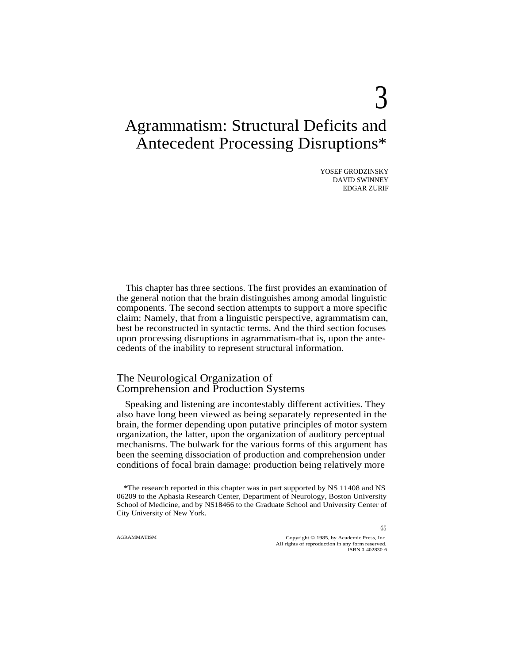# Agrammatism: Structural Deficits and Antecedent Processing Disruptions\*

YOSEF GRODZINSKY DAVID SWINNEY EDGAR ZURIF

 $\mathcal{E}$ 

This chapter has three sections. The first provides an examination of the general notion that the brain distinguishes among amodal linguistic components. The second section attempts to support a more specific claim: Namely, that from a linguistic perspective, agrammatism can, best be reconstructed in syntactic terms. And the third section focuses upon processing disruptions in agrammatism-that is, upon the antecedents of the inability to represent structural information.

## The Neurological Organization of Comprehension and Production Systems

Speaking and listening are incontestably different activities. They also have long been viewed as being separately represented in the brain, the former depending upon putative principles of motor system organization, the latter, upon the organization of auditory perceptual mechanisms. The bulwark for the various forms of this argument has been the seeming dissociation of production and comprehension under conditions of focal brain damage: production being relatively more

AGRAMMATISM Copyright © 1985, by Academic Press, Inc. All rights of reproduction in any form reserved. ISBN 0-402830-6

<sup>\*</sup>The research reported in this chapter was in part supported by NS 11408 and NS 06209 to the Aphasia Research Center, Department of Neurology, Boston University School of Medicine, and by NS18466 to the Graduate School and University Center of City University of New York.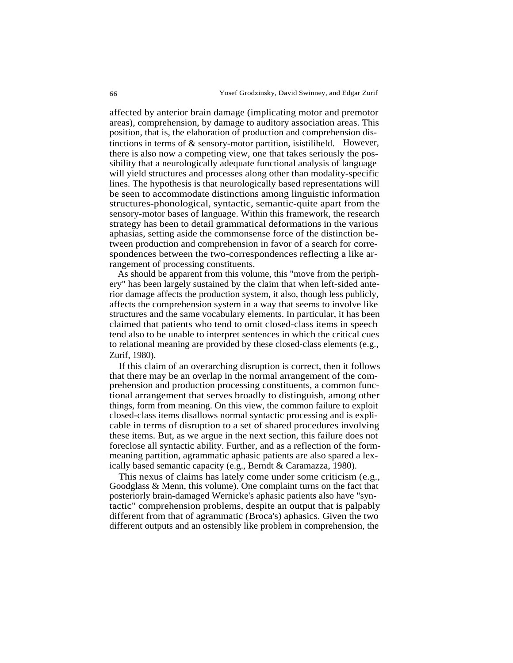affected by anterior brain damage (implicating motor and premotor areas), comprehension, by damage to auditory association areas. This position, that is, the elaboration of production and comprehension distinctions in terms of & sensory-motor partition, isistiliheld. However, there is also now a competing view, one that takes seriously the possibility that a neurologically adequate functional analysis of language will yield structures and processes along other than modality-specific lines. The hypothesis is that neurologically based representations will be seen to accommodate distinctions among linguistic information structures-phonological, syntactic, semantic-quite apart from the sensory-motor bases of language. Within this framework, the research strategy has been to detail grammatical deformations in the various aphasias, setting aside the commonsense force of the distinction between production and comprehension in favor of a search for correspondences between the two-correspondences reflecting a like arrangement of processing constituents.

As should be apparent from this volume, this "move from the periphery" has been largely sustained by the claim that when left-sided anterior damage affects the production system, it also, though less publicly, affects the comprehension system in a way that seems to involve like structures and the same vocabulary elements. In particular, it has been claimed that patients who tend to omit closed-class items in speech tend also to be unable to interpret sentences in which the critical cues to relational meaning are provided by these closed-class elements (e.g., Zurif, 1980).

If this claim of an overarching disruption is correct, then it follows that there may be an overlap in the normal arrangement of the comprehension and production processing constituents, a common functional arrangement that serves broadly to distinguish, among other things, form from meaning. On this view, the common failure to exploit closed-class items disallows normal syntactic processing and is explicable in terms of disruption to a set of shared procedures involving these items. But, as we argue in the next section, this failure does not foreclose all syntactic ability. Further, and as a reflection of the formmeaning partition, agrammatic aphasic patients are also spared a lexically based semantic capacity (e.g., Berndt & Caramazza, 1980).

This nexus of claims has lately come under some criticism (e.g., Goodglass & Menn, this volume). One complaint turns on the fact that posteriorly brain-damaged Wernicke's aphasic patients also have "syntactic" comprehension problems, despite an output that is palpably different from that of agrammatic (Broca's) aphasics. Given the two different outputs and an ostensibly like problem in comprehension, the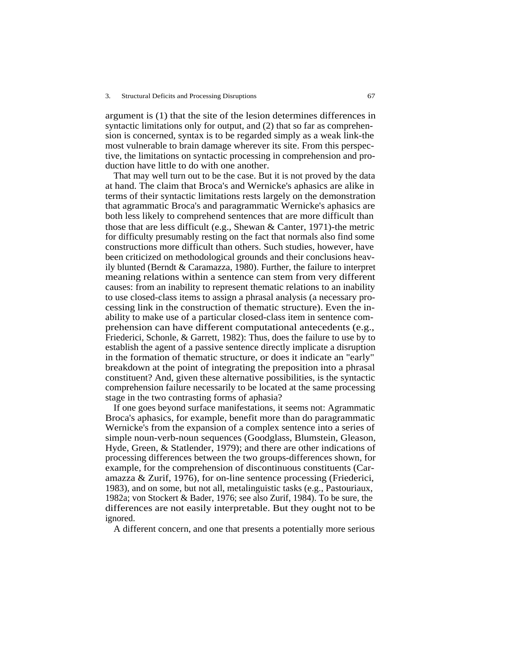argument is (1) that the site of the lesion determines differences in syntactic limitations only for output, and (2) that so far as comprehension is concerned, syntax is to be regarded simply as a weak link-the most vulnerable to brain damage wherever its site. From this perspective, the limitations on syntactic processing in comprehension and production have little to do with one another.

That may well turn out to be the case. But it is not proved by the data at hand. The claim that Broca's and Wernicke's aphasics are alike in terms of their syntactic limitations rests largely on the demonstration that agrammatic Broca's and paragrammatic Wernicke's aphasics are both less likely to comprehend sentences that are more difficult than those that are less difficult (e.g., Shewan & Canter, 1971)-the metric for difficulty presumably resting on the fact that normals also find some constructions more difficult than others. Such studies, however, have been criticized on methodological grounds and their conclusions heavily blunted (Berndt & Caramazza, 1980). Further, the failure to interpret meaning relations within a sentence can stem from very different causes: from an inability to represent thematic relations to an inability to use closed-class items to assign a phrasal analysis (a necessary processing link in the construction of thematic structure). Even the inability to make use of a particular closed-class item in sentence comprehension can have different computational antecedents (e.g., Friederici, Schonle, & Garrett, 1982): Thus, does the failure to use by to establish the agent of a passive sentence directly implicate a disruption in the formation of thematic structure, or does it indicate an "early" breakdown at the point of integrating the preposition into a phrasal constituent? And, given these alternative possibilities, is the syntactic comprehension failure necessarily to be located at the same processing stage in the two contrasting forms of aphasia?

If one goes beyond surface manifestations, it seems not: Agrammatic Broca's aphasics, for example, benefit more than do paragrammatic Wernicke's from the expansion of a complex sentence into a series of simple noun-verb-noun sequences (Goodglass, Blumstein, Gleason, Hyde, Green, & Statlender, 1979); and there are other indications of processing differences between the two groups-differences shown, for example, for the comprehension of discontinuous constituents (Caramazza & Zurif, 1976), for on-line sentence processing (Friederici, 1983), and on some, but not all, metalinguistic tasks (e.g., Pastouriaux, 1982a; von Stockert & Bader, 1976; see also Zurif, 1984). To be sure, the differences are not easily interpretable. But they ought not to be ignored.

A different concern, and one that presents a potentially more serious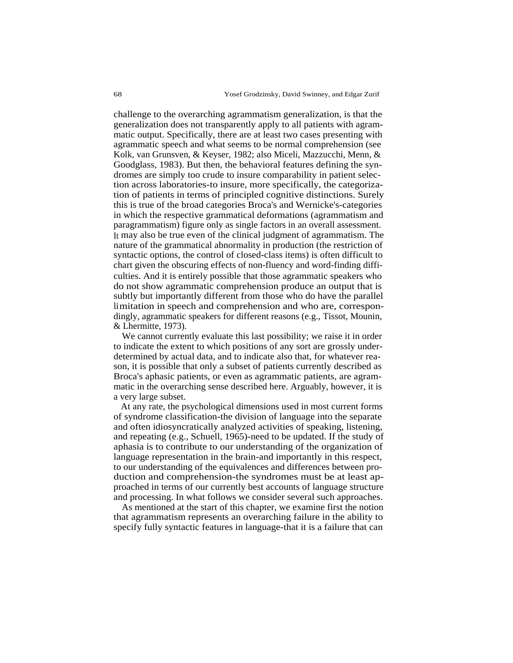challenge to the overarching agrammatism generalization, is that the generalization does not transparently apply to all patients with agrammatic output. Specifically, there are at least two cases presenting with agrammatic speech and what seems to be normal comprehension (see Kolk, van Grunsven, & Keyser, 1982; also Miceli, Mazzucchi, Menn, & Goodglass, 1983). But then, the behavioral features defining the syndromes are simply too crude to insure comparability in patient selection across laboratories-to insure, more specifically, the categorization of patients in terms of principled cognitive distinctions. Surely this is true of the broad categories Broca's and Wernicke's-categories in which the respective grammatical deformations (agrammatism and paragrammatism) figure only as single factors in an overall assessment. It may also be true even of the clinical judgment of agrammatism. The nature of the grammatical abnormality in production (the restriction of syntactic options, the control of closed-class items) is often difficult to chart given the obscuring effects of non-fluency and word-finding difficulties. And it is entirely possible that those agrammatic speakers who do not show agrammatic comprehension produce an output that is subtly but importantly different from those who do have the parallel limitation in speech and comprehension and who are, correspondingly, agrammatic speakers for different reasons (e.g., Tissot, Mounin, & Lhermitte, 1973).

We cannot currently evaluate this last possibility; we raise it in order to indicate the extent to which positions of any sort are grossly underdetermined by actual data, and to indicate also that, for whatever reason, it is possible that only a subset of patients currently described as Broca's aphasic patients, or even as agrammatic patients, are agrammatic in the overarching sense described here. Arguably, however, it is a very large subset.

At any rate, the psychological dimensions used in most current forms of syndrome classification-the division of language into the separate and often idiosyncratically analyzed activities of speaking, listening, and repeating (e.g., Schuell, 1965)-need to be updated. If the study of aphasia is to contribute to our understanding of the organization of language representation in the brain-and importantly in this respect, to our understanding of the equivalences and differences between production and comprehension-the syndromes must be at least approached in terms of our currently best accounts of language structure and processing. In what follows we consider several such approaches.

As mentioned at the start of this chapter, we examine first the notion that agrammatism represents an overarching failure in the ability to specify fully syntactic features in language-that it is a failure that can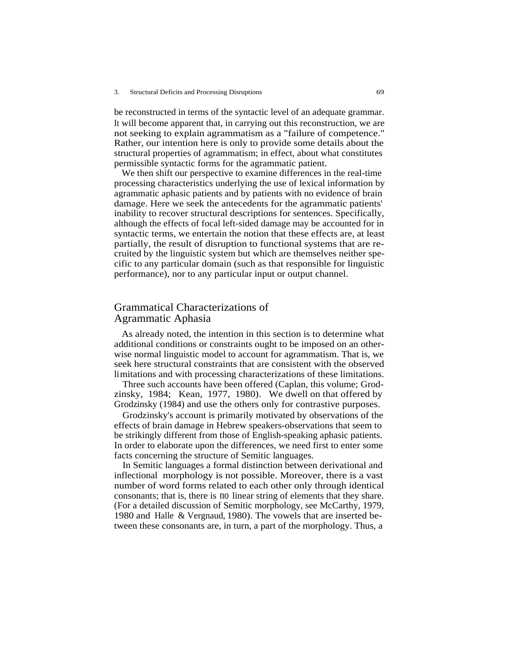be reconstructed in terms of the syntactic level of an adequate grammar. It will become apparent that, in carrying out this reconstruction, we are not seeking to explain agrammatism as a "failure of competence." Rather, our intention here is only to provide some details about the structural properties of agrammatism; in effect, about what constitutes permissible syntactic forms for the agrammatic patient.

We then shift our perspective to examine differences in the real-time processing characteristics underlying the use of lexical information by agrammatic aphasic patients and by patients with no evidence of brain damage. Here we seek the antecedents for the agrammatic patients' inability to recover structural descriptions for sentences. Specifically, although the effects of focal left-sided damage may be accounted for in syntactic terms, we entertain the notion that these effects are, at least partially, the result of disruption to functional systems that are recruited by the linguistic system but which are themselves neither specific to any particular domain (such as that responsible for linguistic performance), nor to any particular input or output channel.

## Grammatical Characterizations of Agrammatic Aphasia

As already noted, the intention in this section is to determine what additional conditions or constraints ought to be imposed on an otherwise normal linguistic model to account for agrammatism. That is, we seek here structural constraints that are consistent with the observed limitations and with processing characterizations of these limitations.

Three such accounts have been offered (Caplan, this volume; Grodzinsky, 1984; Kean, 1977, 1980). We dwell on that offered by Grodzinsky (1984) and use the others only for contrastive purposes.

Grodzinsky's account is primarily motivated by observations of the effects of brain damage in Hebrew speakers-observations that seem to be strikingly different from those of English-speaking aphasic patients. In order to elaborate upon the differences, we need first to enter some facts concerning the structure of Semitic languages.

In Semitic languages a formal distinction between derivational and inflectional morphology is not possible. Moreover, there is a vast number of word forms related to each other only through identical consonants; that is, there is no linear string of elements that they share. (For a detailed discussion of Semitic morphology, see McCarthy, 1979, 1980 and Halle & Vergnaud, 1980). The vowels that are inserted between these consonants are, in turn, a part of the morphology. Thus, a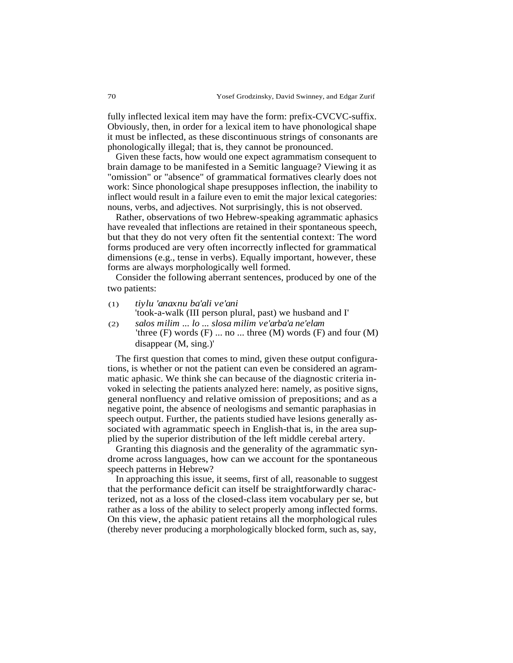fully inflected lexical item may have the form: prefix-CVCVC-suffix. Obviously, then, in order for a lexical item to have phonological shape it must be inflected, as these discontinuous strings of consonants are phonologically illegal; that is, they cannot be pronounced.

Given these facts, how would one expect agrammatism consequent to brain damage to be manifested in a Semitic language? Viewing it as "omission" or "absence" of grammatical formatives clearly does not work: Since phonological shape presupposes inflection, the inability to inflect would result in a failure even to emit the major lexical categories: nouns, verbs, and adjectives. Not surprisingly, this is not observed.

Rather, observations of two Hebrew-speaking agrammatic aphasics have revealed that inflections are retained in their spontaneous speech, but that they do not very often fit the sentential context: The word forms produced are very often incorrectly inflected for grammatical dimensions (e.g., tense in verbs). Equally important, however, these forms are always morphologically well formed.

Consider the following aberrant sentences, produced by one of the two patients:

(1) *tiylu 'anaxnu ba'ali ve'ani*

'took-a-walk (III person plural, past) we husband and I'

(2) *salos milim ... lo ... slosa milim ve'arba'a ne'elam* 'three  $(F)$  words  $(F)$  ... no ... three  $(M)$  words  $(F)$  and four  $(M)$ disappear (M, sing.)'

The first question that comes to mind, given these output configurations, is whether or not the patient can even be considered an agrammatic aphasic. We think she can because of the diagnostic criteria invoked in selecting the patients analyzed here: namely, as positive signs, general nonfluency and relative omission of prepositions; and as a negative point, the absence of neologisms and semantic paraphasias in speech output. Further, the patients studied have lesions generally associated with agrammatic speech in English-that is, in the area supplied by the superior distribution of the left middle cerebal artery.

Granting this diagnosis and the generality of the agrammatic syndrome across languages, how can we account for the spontaneous speech patterns in Hebrew?

In approaching this issue, it seems, first of all, reasonable to suggest that the performance deficit can itself be straightforwardly characterized, not as a loss of the closed-class item vocabulary per se, but rather as a loss of the ability to select properly among inflected forms. On this view, the aphasic patient retains all the morphological rules (thereby never producing a morphologically blocked form, such as, say,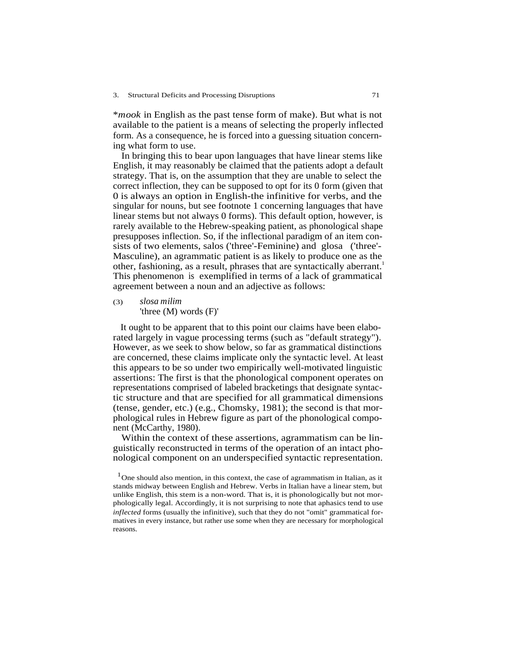\**mook* in English as the past tense form of make). But what is not available to the patient is a means of selecting the properly inflected form. As a consequence, he is forced into a guessing situation concerning what form to use.

In bringing this to bear upon languages that have linear stems like English, it may reasonably be claimed that the patients adopt a default strategy. That is, on the assumption that they are unable to select the correct inflection, they can be supposed to opt for its 0 form (given that 0 is always an option in English-the infinitive for verbs, and the singular for nouns, but see footnote 1 concerning languages that have linear stems but not always 0 forms). This default option, however, is rarely available to the Hebrew-speaking patient, as phonological shape presupposes inflection. So, if the inflectional paradigm of an item consists of two elements, salos ('three'-Feminine) and glosa ('three'- Masculine), an agrammatic patient is as likely to produce one as the other, fashioning, as a result, phrases that are syntactically aberrant.<sup>1</sup> This phenomenon is exemplified in terms of a lack of grammatical agreement between a noun and an adjective as follows:

#### (3) *slosa milim* 'three (M) words (F)'

It ought to be apparent that to this point our claims have been elaborated largely in vague processing terms (such as "default strategy"). However, as we seek to show below, so far as grammatical distinctions are concerned, these claims implicate only the syntactic level. At least this appears to be so under two empirically well-motivated linguistic assertions: The first is that the phonological component operates on representations comprised of labeled bracketings that designate syntactic structure and that are specified for all grammatical dimensions (tense, gender, etc.) (e.g., Chomsky, 1981); the second is that morphological rules in Hebrew figure as part of the phonological component (McCarthy, 1980).

Within the context of these assertions, agrammatism can be linguistically reconstructed in terms of the operation of an intact phonological component on an underspecified syntactic representation.

 $1$ One should also mention, in this context, the case of agrammatism in Italian, as it stands midway between English and Hebrew. Verbs in Italian have a linear stem, but unlike English, this stem is a non-word. That is, it is phonologically but not morphologically legal. Accordingly, it is not surprising to note that aphasics tend to use *inflected* forms (usually the infinitive), such that they do not "omit" grammatical formatives in every instance, but rather use some when they are necessary for morphological reasons.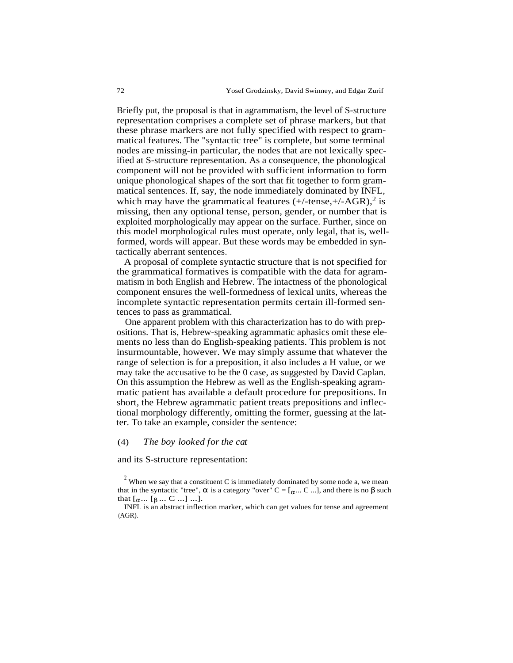Briefly put, the proposal is that in agrammatism, the level of S-structure representation comprises a complete set of phrase markers, but that these phrase markers are not fully specified with respect to grammatical features. The "syntactic tree" is complete, but some terminal nodes are missing-in particular, the nodes that are not lexically specified at S-structure representation. As a consequence, the phonological component will not be provided with sufficient information to form unique phonological shapes of the sort that fit together to form grammatical sentences. If, say, the node immediately dominated by INFL, which may have the grammatical features  $(+/-tense, +/-AGR)$ ,<sup>2</sup> is missing, then any optional tense, person, gender, or number that is exploited morphologically may appear on the surface. Further, since on this model morphological rules must operate, only legal, that is, wellformed, words will appear. But these words may be embedded in syntactically aberrant sentences.

A proposal of complete syntactic structure that is not specified for the grammatical formatives is compatible with the data for agrammatism in both English and Hebrew. The intactness of the phonological component ensures the well-formedness of lexical units, whereas the incomplete syntactic representation permits certain ill-formed sentences to pass as grammatical.

One apparent problem with this characterization has to do with prepositions. That is, Hebrew-speaking agrammatic aphasics omit these elements no less than do English-speaking patients. This problem is not insurmountable, however. We may simply assume that whatever the range of selection is for a preposition, it also includes a H value, or we may take the accusative to be the 0 case, as suggested by David Caplan. On this assumption the Hebrew as well as the English-speaking agrammatic patient has available a default procedure for prepositions. In short, the Hebrew agrammatic patient treats prepositions and inflectional morphology differently, omitting the former, guessing at the latter. To take an example, consider the sentence:

#### (4) *The boy looked for the cat*

and its S-structure representation:

 $2$  When we say that a constituent C is immediately dominated by some node a, we mean that in the syntactic "tree",  $\alpha$  is a category "over" C = [ $\alpha$ ... C ...], and there is no β such that  $[\alpha ... [\beta ... C ...] ...].$ 

INFL is an abstract inflection marker, which can get values for tense and agreement (AGR).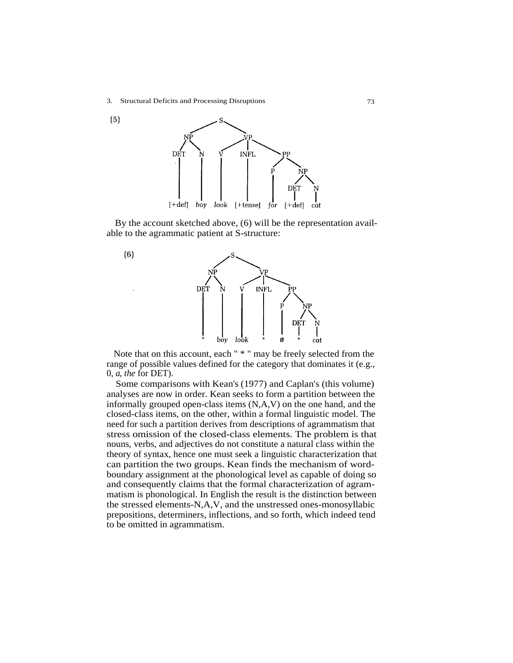

By the account sketched above, (6) will be the representation available to the agrammatic patient at S-structure:



Note that on this account, each " \* " may be freely selected from the range of possible values defined for the category that dominates it (e.g., 0, *a*, *the* for DET).

Some comparisons with Kean's (1977) and Caplan's (this volume) analyses are now in order. Kean seeks to form a partition between the informally grouped open-class items (N,A,V) on the one hand, and the closed-class items, on the other, within a formal linguistic model. The need for such a partition derives from descriptions of agrammatism that stress omission of the closed-class elements. The problem is that nouns, verbs, and adjectives do not constitute a natural class within the theory of syntax, hence one must seek a linguistic characterization that can partition the two groups. Kean finds the mechanism of wordboundary assignment at the phonological level as capable of doing so and consequently claims that the formal characterization of agrammatism is phonological. In English the result is the distinction between the stressed elements-N,A,V, and the unstressed ones-monosyllabic prepositions, determiners, inflections, and so forth, which indeed tend to be omitted in agrammatism.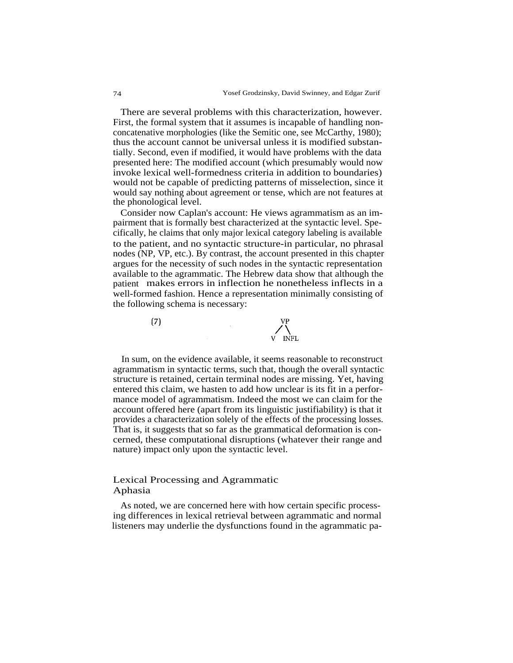There are several problems with this characterization, however. First, the formal system that it assumes is incapable of handling nonconcatenative morphologies (like the Semitic one, see McCarthy, 1980); thus the account cannot be universal unless it is modified substantially. Second, even if modified, it would have problems with the data presented here: The modified account (which presumably would now invoke lexical well-formedness criteria in addition to boundaries) would not be capable of predicting patterns of misselection, since it would say nothing about agreement or tense, which are not features at the phonological level.

Consider now Caplan's account: He views agrammatism as an impairment that is formally best characterized at the syntactic level. Specifically, he claims that only major lexical category labeling is available to the patient, and no syntactic structure-in particular, no phrasal nodes (NP, VP, etc.). By contrast, the account presented in this chapter argues for the necessity of such nodes in the syntactic representation available to the agrammatic. The Hebrew data show that although the patient makes errors in inflection he nonetheless inflects in a well-formed fashion. Hence a representation minimally consisting of the following schema is necessary:

 $(7)$ 

In sum, on the evidence available, it seems reasonable to reconstruct agrammatism in syntactic terms, such that, though the overall syntactic structure is retained, certain terminal nodes are missing. Yet, having entered this claim, we hasten to add how unclear is its fit in a performance model of agrammatism. Indeed the most we can claim for the account offered here (apart from its linguistic justifiability) is that it provides a characterization solely of the effects of the processing losses. That is, it suggests that so far as the grammatical deformation is concerned, these computational disruptions (whatever their range and nature) impact only upon the syntactic level.

### Lexical Processing and Agrammatic Aphasia

As noted, we are concerned here with how certain specific processing differences in lexical retrieval between agrammatic and normal listeners may underlie the dysfunctions found in the agrammatic pa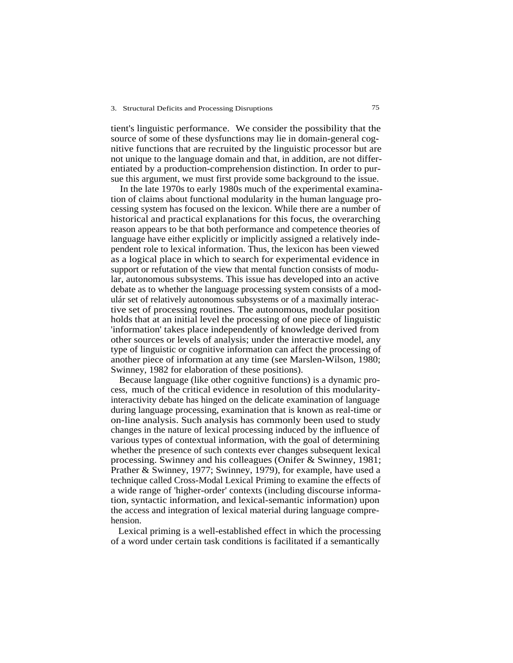tient's linguistic performance. We consider the possibility that the source of some of these dysfunctions may lie in domain-general cognitive functions that are recruited by the linguistic processor but are not unique to the language domain and that, in addition, are not differentiated by a production-comprehension distinction. In order to pursue this argument, we must first provide some background to the issue.

In the late 1970s to early 1980s much of the experimental examination of claims about functional modularity in the human language processing system has focused on the lexicon. While there are a number of historical and practical explanations for this focus, the overarching reason appears to be that both performance and competence theories of language have either explicitly or implicitly assigned a relatively independent role to lexical information. Thus, the lexicon has been viewed as a logical place in which to search for experimental evidence in support or refutation of the view that mental function consists of modular, autonomous subsystems. This issue has developed into an active debate as to whether the language processing system consists of a modulár set of relatively autonomous subsystems or of a maximally interactive set of processing routines. The autonomous, modular position holds that at an initial level the processing of one piece of linguistic 'information' takes place independently of knowledge derived from other sources or levels of analysis; under the interactive model, any type of linguistic or cognitive information can affect the processing of another piece of information at any time (see Marslen-Wilson, 1980; Swinney, 1982 for elaboration of these positions).

Because language (like other cognitive functions) is a dynamic process, much of the critical evidence in resolution of this modularityinteractivity debate has hinged on the delicate examination of language during language processing, examination that is known as real-time or on-line analysis. Such analysis has commonly been used to study changes in the nature of lexical processing induced by the influence of various types of contextual information, with the goal of determining whether the presence of such contexts ever changes subsequent lexical processing. Swinney and his colleagues (Onifer & Swinney, 1981; Prather & Swinney, 1977; Swinney, 1979), for example, have used a technique called Cross-Modal Lexical Priming to examine the effects of a wide range of 'higher-order' contexts (including discourse information, syntactic information, and lexical-semantic information) upon the access and integration of lexical material during language comprehension.

Lexical priming is a well-established effect in which the processing of a word under certain task conditions is facilitated if a semantically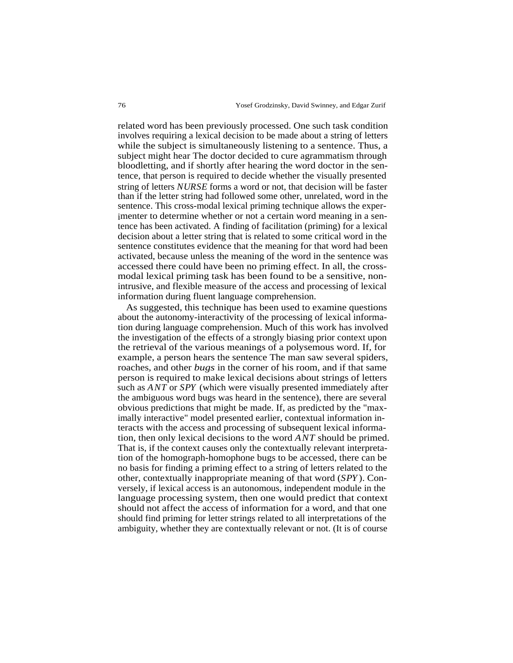related word has been previously processed. One such task condition involves requiring a lexical decision to be made about a string of letters while the subject is simultaneously listening to a sentence. Thus, a subject might hear The doctor decided to cure agrammatism through bloodletting, and if shortly after hearing the word doctor in the sentence, that person is required to decide whether the visually presented string of letters *NURSE* forms a word or not, that decision will be faster than if the letter string had followed some other, unrelated, word in the sentence. This cross-modal lexical priming technique allows the experimenter to determine whether or not a certain word meaning in a sentence has been activated. A finding of facilitation (priming) for a lexical decision about a letter string that is related to some critical word in the sentence constitutes evidence that the meaning for that word had been activated, because unless the meaning of the word in the sentence was accessed there could have been no priming effect. In all, the crossmodal lexical priming task has been found to be a sensitive, nonintrusive, and flexible measure of the access and processing of lexical information during fluent language comprehension.

As suggested, this technique has been used to examine questions about the autonomy-interactivity of the processing of lexical information during language comprehension. Much of this work has involved the investigation of the effects of a strongly biasing prior context upon the retrieval of the various meanings of a polysemous word. If, for example, a person hears the sentence The man saw several spiders, roaches, and other *bugs* in the corner of his room, and if that same person is required to make lexical decisions about strings of letters such as *ANT* or *SPY* (which were visually presented immediately after the ambiguous word bugs was heard in the sentence), there are several obvious predictions that might be made. If, as predicted by the "maximally interactive" model presented earlier, contextual information interacts with the access and processing of subsequent lexical information, then only lexical decisions to the word *ANT* should be primed. That is, if the context causes only the contextually relevant interpretation of the homograph-homophone bugs to be accessed, there can be no basis for finding a priming effect to a string of letters related to the other, contextually inappropriate meaning of that word (*SPY*). Conversely, if lexical access is an autonomous, independent module in the language processing system, then one would predict that context should not affect the access of information for a word, and that one should find priming for letter strings related to all interpretations of the ambiguity, whether they are contextually relevant or not. (It is of course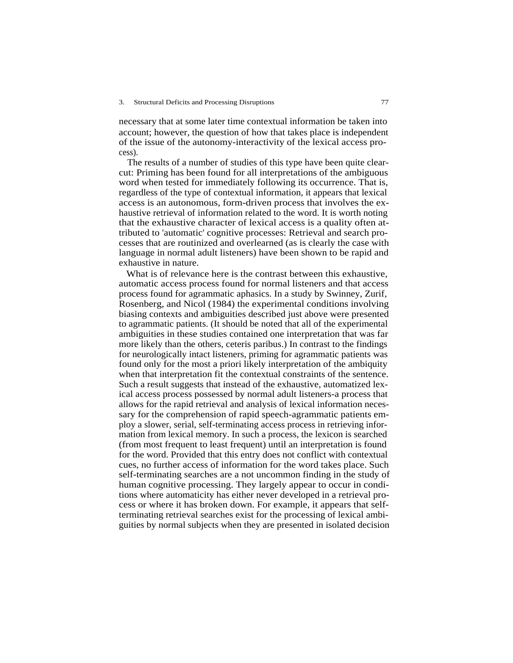necessary that at some later time contextual information be taken into account; however, the question of how that takes place is independent of the issue of the autonomy-interactivity of the lexical access process).

The results of a number of studies of this type have been quite clearcut: Priming has been found for all interpretations of the ambiguous word when tested for immediately following its occurrence. That is, regardless of the type of contextual information, it appears that lexical access is an autonomous, form-driven process that involves the exhaustive retrieval of information related to the word. It is worth noting that the exhaustive character of lexical access is a quality often attributed to 'automatic' cognitive processes: Retrieval and search processes that are routinized and overlearned (as is clearly the case with language in normal adult listeners) have been shown to be rapid and exhaustive in nature.

What is of relevance here is the contrast between this exhaustive, automatic access process found for normal listeners and that access process found for agrammatic aphasics. In a study by Swinney, Zurif, Rosenberg, and Nicol (1984) the experimental conditions involving biasing contexts and ambiguities described just above were presented to agrammatic patients. (It should be noted that all of the experimental ambiguities in these studies contained one interpretation that was far more likely than the others, ceteris paribus.) In contrast to the findings for neurologically intact listeners, priming for agrammatic patients was found only for the most a priori likely interpretation of the ambiquity when that interpretation fit the contextual constraints of the sentence. Such a result suggests that instead of the exhaustive, automatized lexical access process possessed by normal adult listeners-a process that allows for the rapid retrieval and analysis of lexical information necessary for the comprehension of rapid speech-agrammatic patients employ a slower, serial, self-terminating access process in retrieving information from lexical memory. In such a process, the lexicon is searched (from most frequent to least frequent) until an interpretation is found for the word. Provided that this entry does not conflict with contextual cues, no further access of information for the word takes place. Such self-terminating searches are a not uncommon finding in the study of human cognitive processing. They largely appear to occur in conditions where automaticity has either never developed in a retrieval process or where it has broken down. For example, it appears that selfterminating retrieval searches exist for the processing of lexical ambiguities by normal subjects when they are presented in isolated decision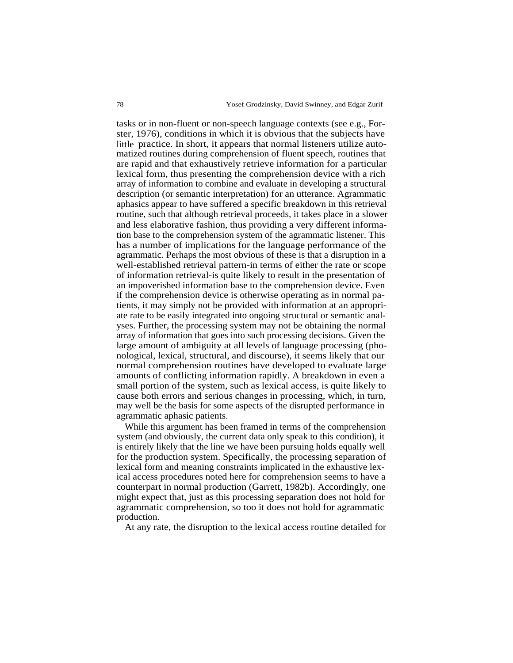tasks or in non-fluent or non-speech language contexts (see e.g., Forster, 1976), conditions in which it is obvious that the subjects have little practice. In short, it appears that normal listeners utilize automatized routines during comprehension of fluent speech, routines that are rapid and that exhaustively retrieve information for a particular lexical form, thus presenting the comprehension device with a rich array of information to combine and evaluate in developing a structural description (or semantic interpretation) for an utterance. Agrammatic aphasics appear to have suffered a specific breakdown in this retrieval routine, such that although retrieval proceeds, it takes place in a slower and less elaborative fashion, thus providing a very different information base to the comprehension system of the agrammatic listener. This has a number of implications for the language performance of the agrammatic. Perhaps the most obvious of these is that a disruption in a well-established retrieval pattern-in terms of either the rate or scope of information retrieval-is quite likely to result in the presentation of an impoverished information base to the comprehension device. Even if the comprehension device is otherwise operating as in normal patients, it may simply not be provided with information at an appropriate rate to be easily integrated into ongoing structural or semantic analyses. Further, the processing system may not be obtaining the normal array of information that goes into such processing decisions. Given the large amount of ambiguity at all levels of language processing (phonological, lexical, structural, and discourse), it seems likely that our normal comprehension routines have developed to evaluate large amounts of conflicting information rapidly. A breakdown in even a small portion of the system, such as lexical access, is quite likely to cause both errors and serious changes in processing, which, in turn, may well be the basis for some aspects of the disrupted performance in agrammatic aphasic patients.

While this argument has been framed in terms of the comprehension system (and obviously, the current data only speak to this condition), it is entirely likely that the line we have been pursuing holds equally well for the production system. Specifically, the processing separation of lexical form and meaning constraints implicated in the exhaustive lexical access procedures noted here for comprehension seems to have a counterpart in normal production (Garrett, 1982b). Accordingly, one might expect that, just as this processing separation does not hold for agrammatic comprehension, so too it does not hold for agrammatic production.

At any rate, the disruption to the lexical access routine detailed for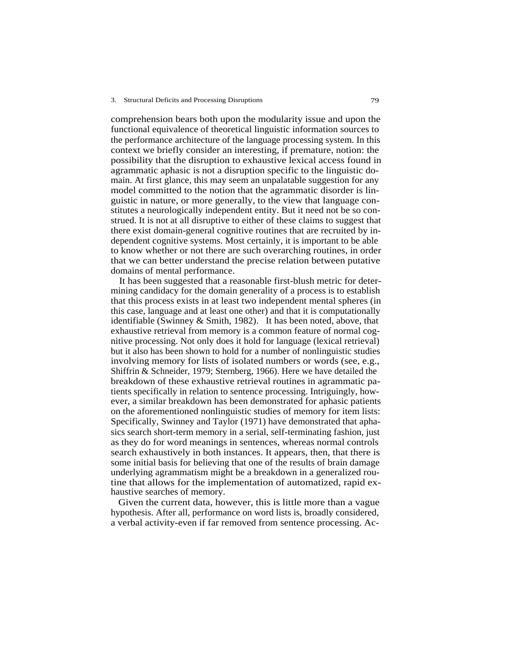comprehension bears both upon the modularity issue and upon the functional equivalence of theoretical linguistic information sources to the performance architecture of the language processing system. In this context we briefly consider an interesting, if premature, notion: the possibility that the disruption to exhaustive lexical access found in agrammatic aphasic is not a disruption specific to the linguistic domain. At first glance, this may seem an unpalatable suggestion for any model committed to the notion that the agrammatic disorder is linguistic in nature, or more generally, to the view that language constitutes a neurologically independent entity. But it need not be so construed. It is not at all disruptive to either of these claims to suggest that there exist domain-general cognitive routines that are recruited by independent cognitive systems. Most certainly, it is important to be able to know whether or not there are such overarching routines, in order that we can better understand the precise relation between putative domains of mental performance.

It has been suggested that a reasonable first-blush metric for determining candidacy for the domain generality of a process is to establish that this process exists in at least two independent mental spheres (in this case, language and at least one other) and that it is computationally identifiable (Swinney & Smith, 1982). It has been noted, above, that exhaustive retrieval from memory is a common feature of normal cognitive processing. Not only does it hold for language (lexical retrieval) but it also has been shown to hold for a number of nonlinguistic studies involving memory for lists of isolated numbers or words (see, e.g., Shiffrin & Schneider, 1979; Sternberg, 1966). Here we have detailed the breakdown of these exhaustive retrieval routines in agrammatic patients specifically in relation to sentence processing. Intriguingly, however, a similar breakdown has been demonstrated for aphasic patients on the aforementioned nonlinguistic studies of memory for item lists: Specifically, Swinney and Taylor (1971) have demonstrated that aphasics search short-term memory in a serial, self-terminating fashion, just as they do for word meanings in sentences, whereas normal controls search exhaustively in both instances. It appears, then, that there is some initial basis for believing that one of the results of brain damage underlying agrammatism might be a breakdown in a generalized routine that allows for the implementation of automatized, rapid exhaustive searches of memory.

Given the current data, however, this is little more than a vague hypothesis. After all, performance on word lists is, broadly considered, a verbal activity-even if far removed from sentence processing. Ac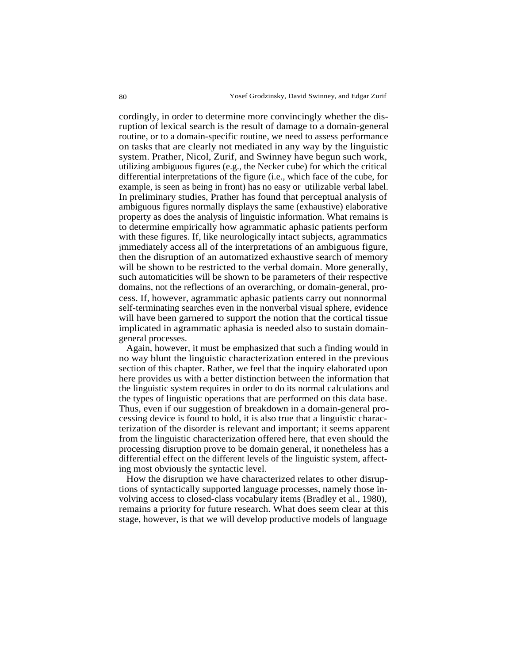cordingly, in order to determine more convincingly whether the disruption of lexical search is the result of damage to a domain-general routine, or to a domain-specific routine, we need to assess performance on tasks that are clearly not mediated in any way by the linguistic system. Prather, Nicol, Zurif, and Swinney have begun such work, utilizing ambiguous figures (e.g., the Necker cube) for which the critical differential interpretations of the figure (i.e., which face of the cube, for example, is seen as being in front) has no easy or utilizable verbal label. In preliminary studies, Prather has found that perceptual analysis of ambiguous figures normally displays the same (exhaustive) elaborative property as does the analysis of linguistic information. What remains is to determine empirically how agrammatic aphasic patients perform with these figures. If, like neurologically intact subjects, agrammatics immediately access all of the interpretations of an ambiguous figure, then the disruption of an automatized exhaustive search of memory will be shown to be restricted to the verbal domain. More generally, such automaticities will be shown to be parameters of their respective domains, not the reflections of an overarching, or domain-general, process. If, however, agrammatic aphasic patients carry out nonnormal self-terminating searches even in the nonverbal visual sphere, evidence will have been garnered to support the notion that the cortical tissue implicated in agrammatic aphasia is needed also to sustain domaingeneral processes.

Again, however, it must be emphasized that such a finding would in no way blunt the linguistic characterization entered in the previous section of this chapter. Rather, we feel that the inquiry elaborated upon here provides us with a better distinction between the information that the linguistic system requires in order to do its normal calculations and the types of linguistic operations that are performed on this data base. Thus, even if our suggestion of breakdown in a domain-general processing device is found to hold, it is also true that a linguistic characterization of the disorder is relevant and important; it seems apparent from the linguistic characterization offered here, that even should the processing disruption prove to be domain general, it nonetheless has a differential effect on the different levels of the linguistic system, affecting most obviously the syntactic level.

How the disruption we have characterized relates to other disruptions of syntactically supported language processes, namely those involving access to closed-class vocabulary items (Bradley et al., 1980), remains a priority for future research. What does seem clear at this stage, however, is that we will develop productive models of language